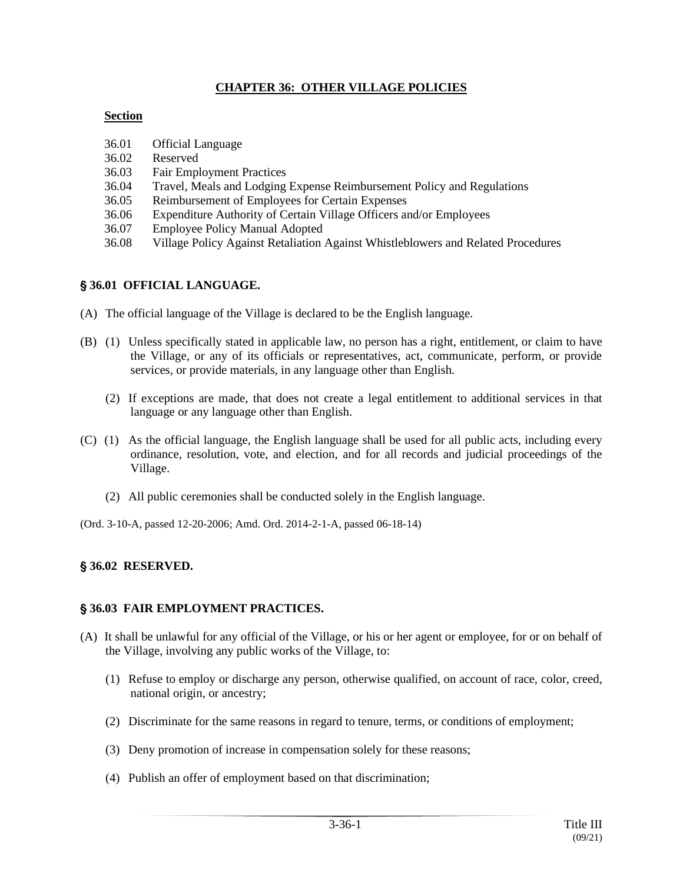# **CHAPTER 36: OTHER VILLAGE POLICIES**

### **Section**

- 36.01 Official Language
- 36.02 Reserved
- 36.03 Fair Employment Practices
- 36.04 Travel, Meals and Lodging Expense Reimbursement Policy and Regulations
- 36.05 Reimbursement of Employees for Certain Expenses
- 36.06 Expenditure Authority of Certain Village Officers and/or Employees
- 36.07 Employee Policy Manual Adopted
- 36.08 Village Policy Against Retaliation Against Whistleblowers and Related Procedures

# ' **36.01 OFFICIAL LANGUAGE.**

- (A) The official language of the Village is declared to be the English language.
- (B) (1) Unless specifically stated in applicable law, no person has a right, entitlement, or claim to have the Village, or any of its officials or representatives, act, communicate, perform, or provide services, or provide materials, in any language other than English.
	- (2) If exceptions are made, that does not create a legal entitlement to additional services in that language or any language other than English.
- (C) (1) As the official language, the English language shall be used for all public acts, including every ordinance, resolution, vote, and election, and for all records and judicial proceedings of the Village.
	- (2) All public ceremonies shall be conducted solely in the English language.
- (Ord. 3-10-A, passed 12-20-2006; Amd. Ord. 2014-2-1-A, passed 06-18-14)

# ' **36.02 RESERVED.**

# ' **36.03 FAIR EMPLOYMENT PRACTICES.**

- (A) It shall be unlawful for any official of the Village, or his or her agent or employee, for or on behalf of the Village, involving any public works of the Village, to:
	- (1) Refuse to employ or discharge any person, otherwise qualified, on account of race, color, creed, national origin, or ancestry;
	- (2) Discriminate for the same reasons in regard to tenure, terms, or conditions of employment;
	- (3) Deny promotion of increase in compensation solely for these reasons;
	- (4) Publish an offer of employment based on that discrimination;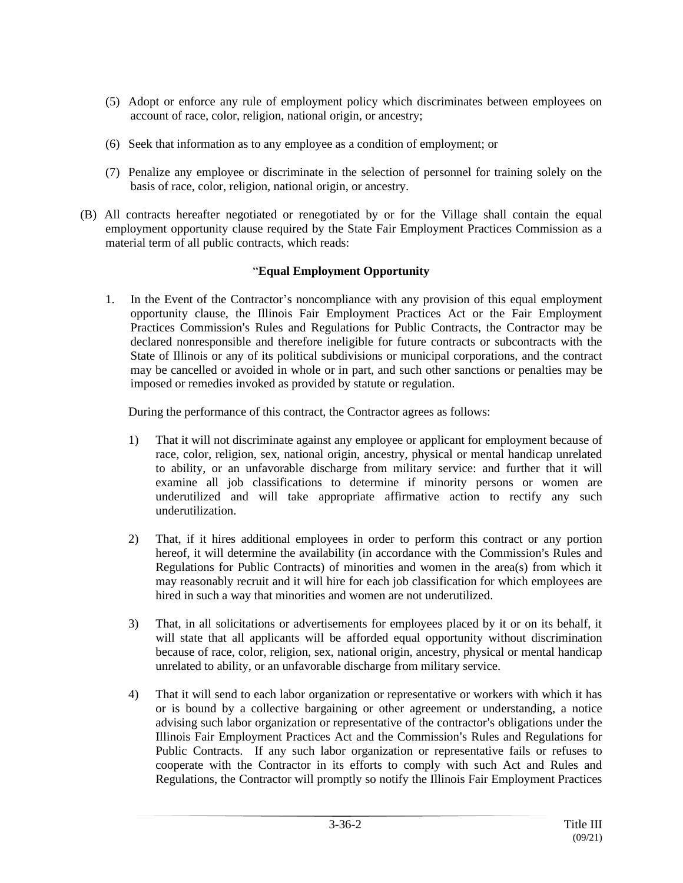- (5) Adopt or enforce any rule of employment policy which discriminates between employees on account of race, color, religion, national origin, or ancestry;
- (6) Seek that information as to any employee as a condition of employment; or
- (7) Penalize any employee or discriminate in the selection of personnel for training solely on the basis of race, color, religion, national origin, or ancestry.
- (B) All contracts hereafter negotiated or renegotiated by or for the Village shall contain the equal employment opportunity clause required by the State Fair Employment Practices Commission as a material term of all public contracts, which reads:

# "**Equal Employment Opportunity**

1. In the Event of the Contractor's noncompliance with any provision of this equal employment opportunity clause, the Illinois Fair Employment Practices Act or the Fair Employment Practices Commission's Rules and Regulations for Public Contracts, the Contractor may be declared nonresponsible and therefore ineligible for future contracts or subcontracts with the State of Illinois or any of its political subdivisions or municipal corporations, and the contract may be cancelled or avoided in whole or in part, and such other sanctions or penalties may be imposed or remedies invoked as provided by statute or regulation.

During the performance of this contract, the Contractor agrees as follows:

- 1) That it will not discriminate against any employee or applicant for employment because of race, color, religion, sex, national origin, ancestry, physical or mental handicap unrelated to ability, or an unfavorable discharge from military service: and further that it will examine all job classifications to determine if minority persons or women are underutilized and will take appropriate affirmative action to rectify any such underutilization.
- 2) That, if it hires additional employees in order to perform this contract or any portion hereof, it will determine the availability (in accordance with the Commission's Rules and Regulations for Public Contracts) of minorities and women in the area(s) from which it may reasonably recruit and it will hire for each job classification for which employees are hired in such a way that minorities and women are not underutilized.
- 3) That, in all solicitations or advertisements for employees placed by it or on its behalf, it will state that all applicants will be afforded equal opportunity without discrimination because of race, color, religion, sex, national origin, ancestry, physical or mental handicap unrelated to ability, or an unfavorable discharge from military service.
- 4) That it will send to each labor organization or representative or workers with which it has or is bound by a collective bargaining or other agreement or understanding, a notice advising such labor organization or representative of the contractor's obligations under the Illinois Fair Employment Practices Act and the Commission's Rules and Regulations for Public Contracts. If any such labor organization or representative fails or refuses to cooperate with the Contractor in its efforts to comply with such Act and Rules and Regulations, the Contractor will promptly so notify the Illinois Fair Employment Practices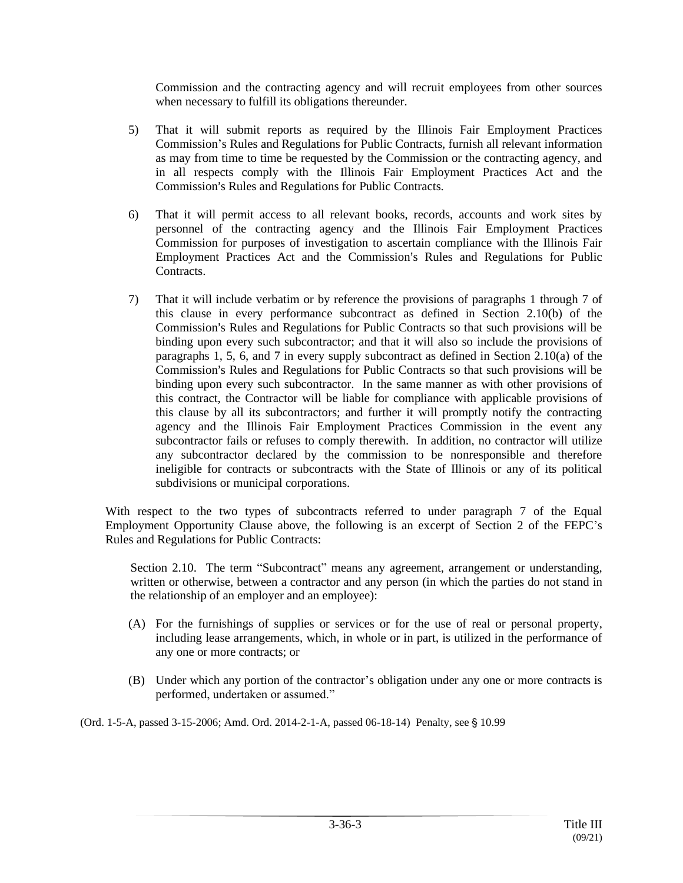Commission and the contracting agency and will recruit employees from other sources when necessary to fulfill its obligations thereunder.

- 5) That it will submit reports as required by the Illinois Fair Employment Practices Commission's Rules and Regulations for Public Contracts, furnish all relevant information as may from time to time be requested by the Commission or the contracting agency, and in all respects comply with the Illinois Fair Employment Practices Act and the Commission's Rules and Regulations for Public Contracts.
- 6) That it will permit access to all relevant books, records, accounts and work sites by personnel of the contracting agency and the Illinois Fair Employment Practices Commission for purposes of investigation to ascertain compliance with the Illinois Fair Employment Practices Act and the Commission's Rules and Regulations for Public Contracts.
- 7) That it will include verbatim or by reference the provisions of paragraphs 1 through 7 of this clause in every performance subcontract as defined in Section 2.10(b) of the Commission's Rules and Regulations for Public Contracts so that such provisions will be binding upon every such subcontractor; and that it will also so include the provisions of paragraphs 1, 5, 6, and 7 in every supply subcontract as defined in Section 2.10(a) of the Commission's Rules and Regulations for Public Contracts so that such provisions will be binding upon every such subcontractor. In the same manner as with other provisions of this contract, the Contractor will be liable for compliance with applicable provisions of this clause by all its subcontractors; and further it will promptly notify the contracting agency and the Illinois Fair Employment Practices Commission in the event any subcontractor fails or refuses to comply therewith. In addition, no contractor will utilize any subcontractor declared by the commission to be nonresponsible and therefore ineligible for contracts or subcontracts with the State of Illinois or any of its political subdivisions or municipal corporations.

With respect to the two types of subcontracts referred to under paragraph 7 of the Equal Employment Opportunity Clause above, the following is an excerpt of Section 2 of the FEPC's Rules and Regulations for Public Contracts:

Section 2.10. The term "Subcontract" means any agreement, arrangement or understanding, written or otherwise, between a contractor and any person (in which the parties do not stand in the relationship of an employer and an employee):

- (A) For the furnishings of supplies or services or for the use of real or personal property, including lease arrangements, which, in whole or in part, is utilized in the performance of any one or more contracts; or
- (B) Under which any portion of the contractor's obligation under any one or more contracts is performed, undertaken or assumed."

(Ord. 1-5-A, passed 3-15-2006; Amd. Ord. 2014-2-1-A, passed 06-18-14) Penalty, see § 10.99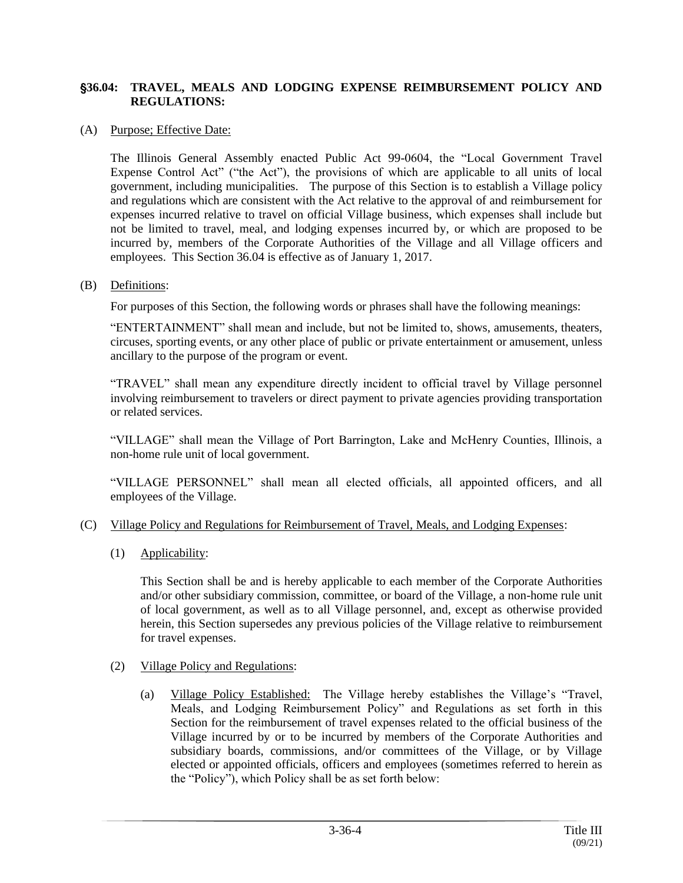### '**36.04: TRAVEL, MEALS AND LODGING EXPENSE REIMBURSEMENT POLICY AND REGULATIONS:**

#### (A) Purpose; Effective Date:

The Illinois General Assembly enacted Public Act 99-0604, the "Local Government Travel Expense Control Act" ("the Act"), the provisions of which are applicable to all units of local government, including municipalities. The purpose of this Section is to establish a Village policy and regulations which are consistent with the Act relative to the approval of and reimbursement for expenses incurred relative to travel on official Village business, which expenses shall include but not be limited to travel, meal, and lodging expenses incurred by, or which are proposed to be incurred by, members of the Corporate Authorities of the Village and all Village officers and employees. This Section 36.04 is effective as of January 1, 2017.

#### (B) Definitions:

For purposes of this Section, the following words or phrases shall have the following meanings:

"ENTERTAINMENT" shall mean and include, but not be limited to, shows, amusements, theaters, circuses, sporting events, or any other place of public or private entertainment or amusement, unless ancillary to the purpose of the program or event.

"TRAVEL" shall mean any expenditure directly incident to official travel by Village personnel involving reimbursement to travelers or direct payment to private agencies providing transportation or related services.

"VILLAGE" shall mean the Village of Port Barrington, Lake and McHenry Counties, Illinois, a non-home rule unit of local government.

"VILLAGE PERSONNEL" shall mean all elected officials, all appointed officers, and all employees of the Village.

#### (C) Village Policy and Regulations for Reimbursement of Travel, Meals, and Lodging Expenses:

(1) Applicability:

This Section shall be and is hereby applicable to each member of the Corporate Authorities and/or other subsidiary commission, committee, or board of the Village, a non-home rule unit of local government, as well as to all Village personnel, and, except as otherwise provided herein, this Section supersedes any previous policies of the Village relative to reimbursement for travel expenses.

### (2) Village Policy and Regulations:

(a) Village Policy Established: The Village hereby establishes the Village's "Travel, Meals, and Lodging Reimbursement Policy" and Regulations as set forth in this Section for the reimbursement of travel expenses related to the official business of the Village incurred by or to be incurred by members of the Corporate Authorities and subsidiary boards, commissions, and/or committees of the Village, or by Village elected or appointed officials, officers and employees (sometimes referred to herein as the "Policy"), which Policy shall be as set forth below: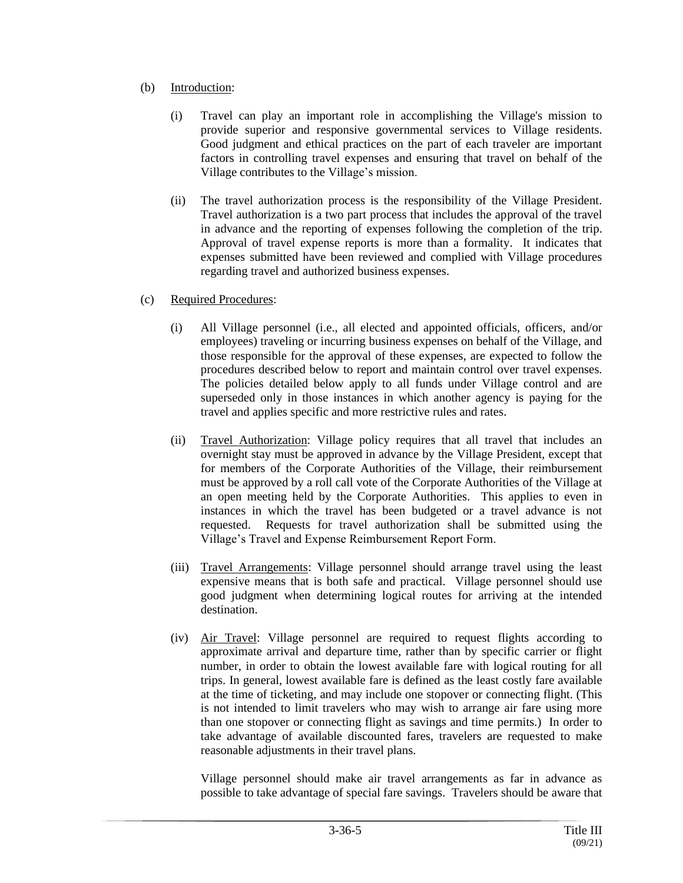# (b) Introduction:

- (i) Travel can play an important role in accomplishing the Village's mission to provide superior and responsive governmental services to Village residents. Good judgment and ethical practices on the part of each traveler are important factors in controlling travel expenses and ensuring that travel on behalf of the Village contributes to the Village's mission.
- (ii) The travel authorization process is the responsibility of the Village President. Travel authorization is a two part process that includes the approval of the travel in advance and the reporting of expenses following the completion of the trip. Approval of travel expense reports is more than a formality. It indicates that expenses submitted have been reviewed and complied with Village procedures regarding travel and authorized business expenses.

# (c) Required Procedures:

- (i) All Village personnel (i.e., all elected and appointed officials, officers, and/or employees) traveling or incurring business expenses on behalf of the Village, and those responsible for the approval of these expenses, are expected to follow the procedures described below to report and maintain control over travel expenses. The policies detailed below apply to all funds under Village control and are superseded only in those instances in which another agency is paying for the travel and applies specific and more restrictive rules and rates.
- (ii) Travel Authorization: Village policy requires that all travel that includes an overnight stay must be approved in advance by the Village President, except that for members of the Corporate Authorities of the Village, their reimbursement must be approved by a roll call vote of the Corporate Authorities of the Village at an open meeting held by the Corporate Authorities. This applies to even in instances in which the travel has been budgeted or a travel advance is not requested. Requests for travel authorization shall be submitted using the Village's Travel and Expense Reimbursement Report Form.
- (iii) Travel Arrangements: Village personnel should arrange travel using the least expensive means that is both safe and practical. Village personnel should use good judgment when determining logical routes for arriving at the intended destination.
- (iv) Air Travel: Village personnel are required to request flights according to approximate arrival and departure time, rather than by specific carrier or flight number, in order to obtain the lowest available fare with logical routing for all trips. In general, lowest available fare is defined as the least costly fare available at the time of ticketing, and may include one stopover or connecting flight. (This is not intended to limit travelers who may wish to arrange air fare using more than one stopover or connecting flight as savings and time permits.) In order to take advantage of available discounted fares, travelers are requested to make reasonable adjustments in their travel plans.

Village personnel should make air travel arrangements as far in advance as possible to take advantage of special fare savings. Travelers should be aware that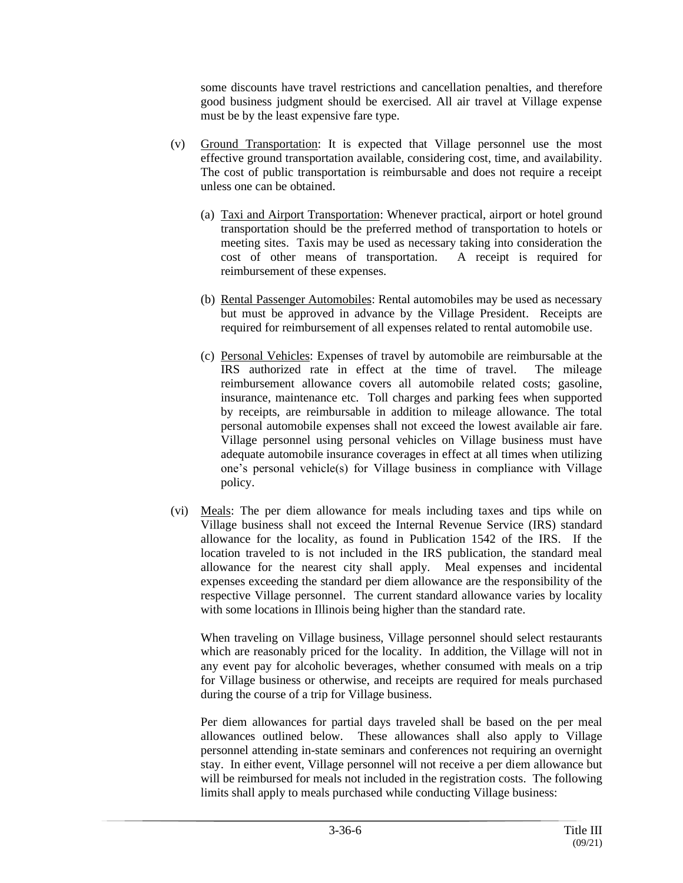some discounts have travel restrictions and cancellation penalties, and therefore good business judgment should be exercised. All air travel at Village expense must be by the least expensive fare type.

- (v) Ground Transportation: It is expected that Village personnel use the most effective ground transportation available, considering cost, time, and availability. The cost of public transportation is reimbursable and does not require a receipt unless one can be obtained.
	- (a) Taxi and Airport Transportation: Whenever practical, airport or hotel ground transportation should be the preferred method of transportation to hotels or meeting sites. Taxis may be used as necessary taking into consideration the cost of other means of transportation. A receipt is required for reimbursement of these expenses.
	- (b) Rental Passenger Automobiles: Rental automobiles may be used as necessary but must be approved in advance by the Village President. Receipts are required for reimbursement of all expenses related to rental automobile use.
	- (c) Personal Vehicles: Expenses of travel by automobile are reimbursable at the IRS authorized rate in effect at the time of travel. The mileage reimbursement allowance covers all automobile related costs; gasoline, insurance, maintenance etc. Toll charges and parking fees when supported by receipts, are reimbursable in addition to mileage allowance. The total personal automobile expenses shall not exceed the lowest available air fare. Village personnel using personal vehicles on Village business must have adequate automobile insurance coverages in effect at all times when utilizing one's personal vehicle(s) for Village business in compliance with Village policy.
- (vi) Meals: The per diem allowance for meals including taxes and tips while on Village business shall not exceed the Internal Revenue Service (IRS) standard allowance for the locality, as found in Publication 1542 of the IRS. If the location traveled to is not included in the IRS publication, the standard meal allowance for the nearest city shall apply. Meal expenses and incidental expenses exceeding the standard per diem allowance are the responsibility of the respective Village personnel. The current standard allowance varies by locality with some locations in Illinois being higher than the standard rate.

When traveling on Village business, Village personnel should select restaurants which are reasonably priced for the locality. In addition, the Village will not in any event pay for alcoholic beverages, whether consumed with meals on a trip for Village business or otherwise, and receipts are required for meals purchased during the course of a trip for Village business.

Per diem allowances for partial days traveled shall be based on the per meal allowances outlined below. These allowances shall also apply to Village personnel attending in-state seminars and conferences not requiring an overnight stay. In either event, Village personnel will not receive a per diem allowance but will be reimbursed for meals not included in the registration costs. The following limits shall apply to meals purchased while conducting Village business: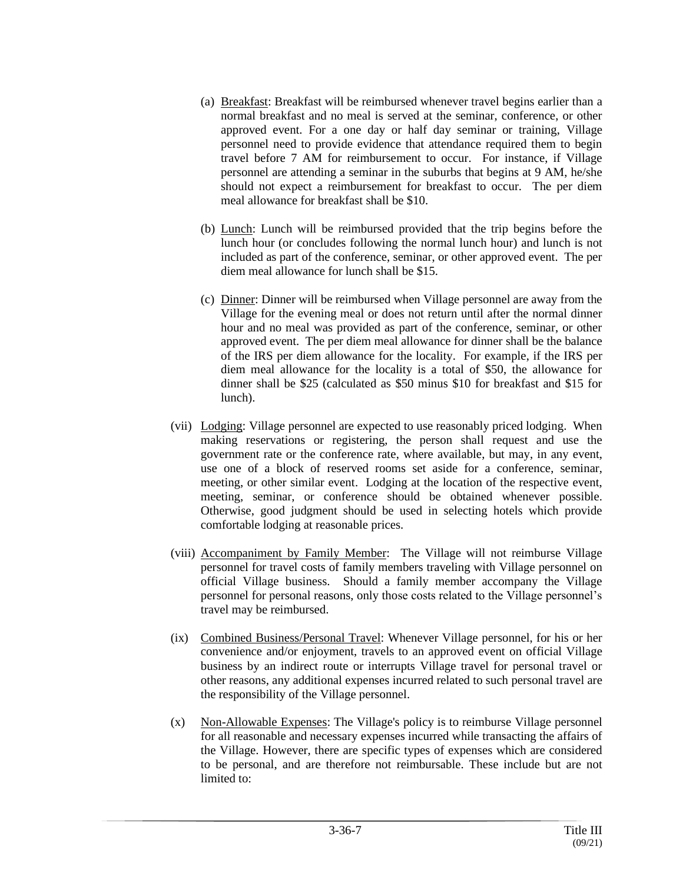- (a) Breakfast: Breakfast will be reimbursed whenever travel begins earlier than a normal breakfast and no meal is served at the seminar, conference, or other approved event. For a one day or half day seminar or training, Village personnel need to provide evidence that attendance required them to begin travel before 7 AM for reimbursement to occur. For instance, if Village personnel are attending a seminar in the suburbs that begins at 9 AM, he/she should not expect a reimbursement for breakfast to occur. The per diem meal allowance for breakfast shall be \$10.
- (b) Lunch: Lunch will be reimbursed provided that the trip begins before the lunch hour (or concludes following the normal lunch hour) and lunch is not included as part of the conference, seminar, or other approved event. The per diem meal allowance for lunch shall be \$15.
- (c) Dinner: Dinner will be reimbursed when Village personnel are away from the Village for the evening meal or does not return until after the normal dinner hour and no meal was provided as part of the conference, seminar, or other approved event. The per diem meal allowance for dinner shall be the balance of the IRS per diem allowance for the locality. For example, if the IRS per diem meal allowance for the locality is a total of \$50, the allowance for dinner shall be \$25 (calculated as \$50 minus \$10 for breakfast and \$15 for lunch).
- (vii) Lodging: Village personnel are expected to use reasonably priced lodging. When making reservations or registering, the person shall request and use the government rate or the conference rate, where available, but may, in any event, use one of a block of reserved rooms set aside for a conference, seminar, meeting, or other similar event. Lodging at the location of the respective event, meeting, seminar, or conference should be obtained whenever possible. Otherwise, good judgment should be used in selecting hotels which provide comfortable lodging at reasonable prices.
- (viii) Accompaniment by Family Member: The Village will not reimburse Village personnel for travel costs of family members traveling with Village personnel on official Village business. Should a family member accompany the Village personnel for personal reasons, only those costs related to the Village personnel's travel may be reimbursed.
- (ix) Combined Business/Personal Travel: Whenever Village personnel, for his or her convenience and/or enjoyment, travels to an approved event on official Village business by an indirect route or interrupts Village travel for personal travel or other reasons, any additional expenses incurred related to such personal travel are the responsibility of the Village personnel.
- (x) Non-Allowable Expenses: The Village's policy is to reimburse Village personnel for all reasonable and necessary expenses incurred while transacting the affairs of the Village. However, there are specific types of expenses which are considered to be personal, and are therefore not reimbursable. These include but are not limited to: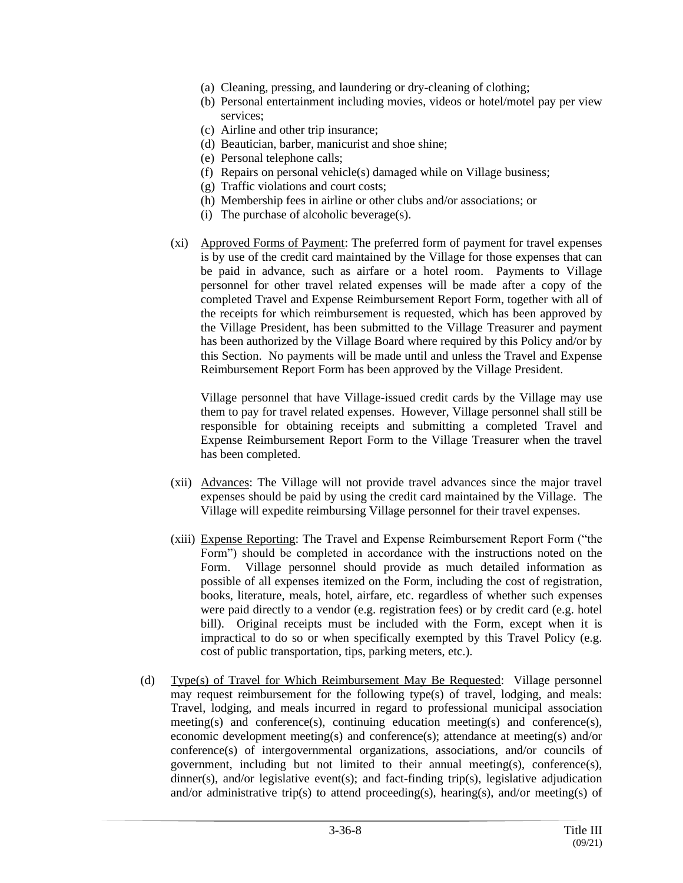- (a) Cleaning, pressing, and laundering or dry-cleaning of clothing;
- (b) Personal entertainment including movies, videos or hotel/motel pay per view services;
- (c) Airline and other trip insurance;
- (d) Beautician, barber, manicurist and shoe shine;
- (e) Personal telephone calls;
- (f) Repairs on personal vehicle(s) damaged while on Village business;
- (g) Traffic violations and court costs;
- (h) Membership fees in airline or other clubs and/or associations; or
- (i) The purchase of alcoholic beverage(s).
- (xi) Approved Forms of Payment: The preferred form of payment for travel expenses is by use of the credit card maintained by the Village for those expenses that can be paid in advance, such as airfare or a hotel room. Payments to Village personnel for other travel related expenses will be made after a copy of the completed Travel and Expense Reimbursement Report Form, together with all of the receipts for which reimbursement is requested, which has been approved by the Village President, has been submitted to the Village Treasurer and payment has been authorized by the Village Board where required by this Policy and/or by this Section. No payments will be made until and unless the Travel and Expense Reimbursement Report Form has been approved by the Village President.

Village personnel that have Village-issued credit cards by the Village may use them to pay for travel related expenses. However, Village personnel shall still be responsible for obtaining receipts and submitting a completed Travel and Expense Reimbursement Report Form to the Village Treasurer when the travel has been completed.

- (xii) Advances: The Village will not provide travel advances since the major travel expenses should be paid by using the credit card maintained by the Village. The Village will expedite reimbursing Village personnel for their travel expenses.
- (xiii) Expense Reporting: The Travel and Expense Reimbursement Report Form ("the Form") should be completed in accordance with the instructions noted on the Form. Village personnel should provide as much detailed information as possible of all expenses itemized on the Form, including the cost of registration, books, literature, meals, hotel, airfare, etc. regardless of whether such expenses were paid directly to a vendor (e.g. registration fees) or by credit card (e.g. hotel bill). Original receipts must be included with the Form, except when it is impractical to do so or when specifically exempted by this Travel Policy (e.g. cost of public transportation, tips, parking meters, etc.).
- (d) Type(s) of Travel for Which Reimbursement May Be Requested: Village personnel may request reimbursement for the following type(s) of travel, lodging, and meals: Travel, lodging, and meals incurred in regard to professional municipal association meeting(s) and conference(s), continuing education meeting(s) and conference(s), economic development meeting(s) and conference(s); attendance at meeting(s) and/or conference(s) of intergovernmental organizations, associations, and/or councils of government, including but not limited to their annual meeting(s), conference(s), dinner(s), and/or legislative event(s); and fact-finding trip(s), legislative adjudication and/or administrative trip(s) to attend proceeding(s), hearing(s), and/or meeting(s) of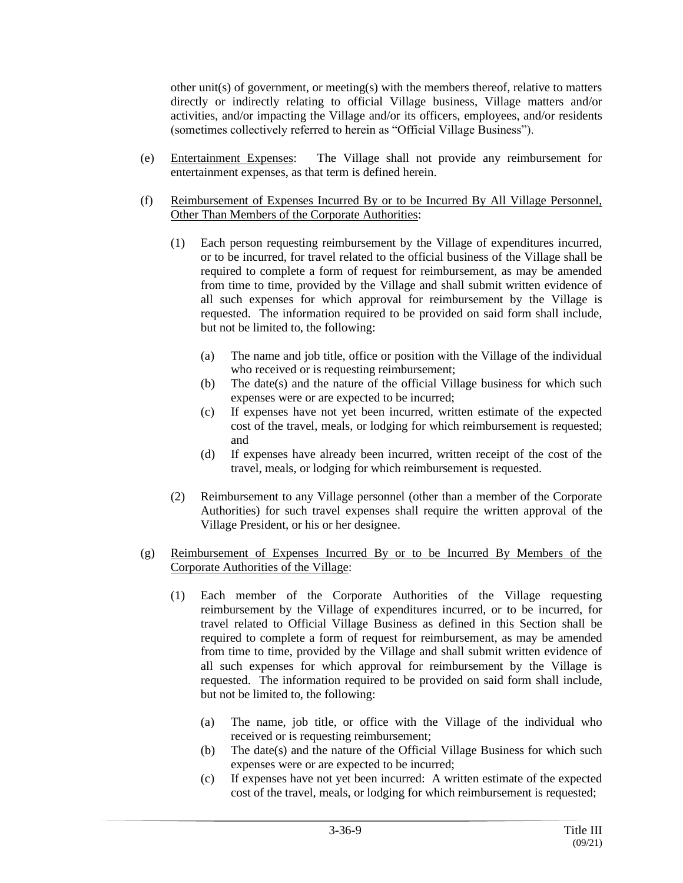other unit(s) of government, or meeting(s) with the members thereof, relative to matters directly or indirectly relating to official Village business, Village matters and/or activities, and/or impacting the Village and/or its officers, employees, and/or residents (sometimes collectively referred to herein as "Official Village Business").

- (e) Entertainment Expenses: The Village shall not provide any reimbursement for entertainment expenses, as that term is defined herein.
- (f) Reimbursement of Expenses Incurred By or to be Incurred By All Village Personnel, Other Than Members of the Corporate Authorities:
	- (1) Each person requesting reimbursement by the Village of expenditures incurred, or to be incurred, for travel related to the official business of the Village shall be required to complete a form of request for reimbursement, as may be amended from time to time, provided by the Village and shall submit written evidence of all such expenses for which approval for reimbursement by the Village is requested. The information required to be provided on said form shall include, but not be limited to, the following:
		- (a) The name and job title, office or position with the Village of the individual who received or is requesting reimbursement;
		- (b) The date(s) and the nature of the official Village business for which such expenses were or are expected to be incurred;
		- (c) If expenses have not yet been incurred, written estimate of the expected cost of the travel, meals, or lodging for which reimbursement is requested; and
		- (d) If expenses have already been incurred, written receipt of the cost of the travel, meals, or lodging for which reimbursement is requested.
	- (2) Reimbursement to any Village personnel (other than a member of the Corporate Authorities) for such travel expenses shall require the written approval of the Village President, or his or her designee.
- (g) Reimbursement of Expenses Incurred By or to be Incurred By Members of the Corporate Authorities of the Village:
	- (1) Each member of the Corporate Authorities of the Village requesting reimbursement by the Village of expenditures incurred, or to be incurred, for travel related to Official Village Business as defined in this Section shall be required to complete a form of request for reimbursement, as may be amended from time to time, provided by the Village and shall submit written evidence of all such expenses for which approval for reimbursement by the Village is requested. The information required to be provided on said form shall include, but not be limited to, the following:
		- (a) The name, job title, or office with the Village of the individual who received or is requesting reimbursement;
		- (b) The date(s) and the nature of the Official Village Business for which such expenses were or are expected to be incurred;
		- (c) If expenses have not yet been incurred: A written estimate of the expected cost of the travel, meals, or lodging for which reimbursement is requested;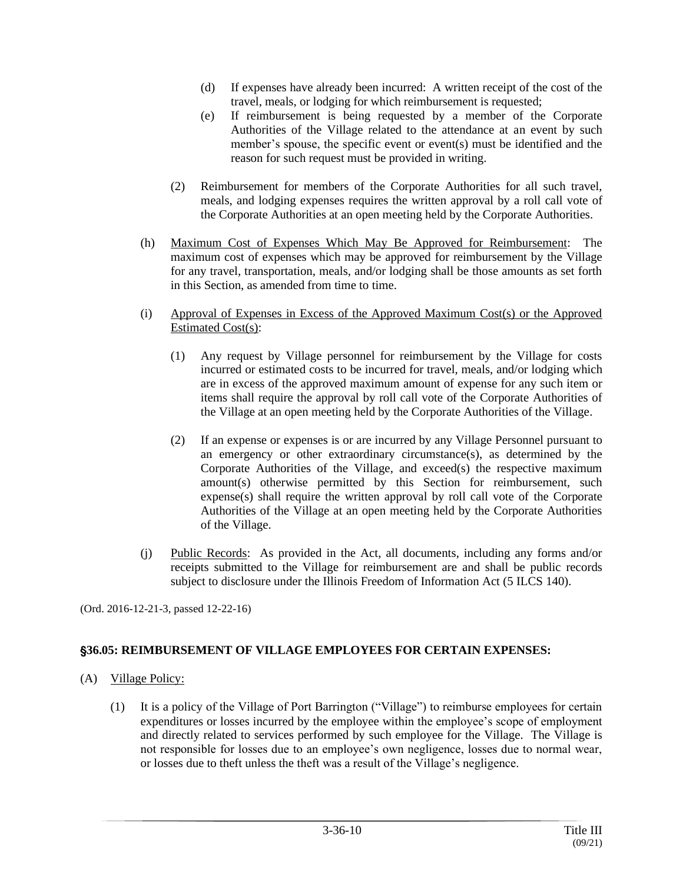- (d) If expenses have already been incurred: A written receipt of the cost of the travel, meals, or lodging for which reimbursement is requested;
- (e) If reimbursement is being requested by a member of the Corporate Authorities of the Village related to the attendance at an event by such member's spouse, the specific event or event(s) must be identified and the reason for such request must be provided in writing.
- (2) Reimbursement for members of the Corporate Authorities for all such travel, meals, and lodging expenses requires the written approval by a roll call vote of the Corporate Authorities at an open meeting held by the Corporate Authorities.
- (h) Maximum Cost of Expenses Which May Be Approved for Reimbursement: The maximum cost of expenses which may be approved for reimbursement by the Village for any travel, transportation, meals, and/or lodging shall be those amounts as set forth in this Section, as amended from time to time.
- (i) Approval of Expenses in Excess of the Approved Maximum Cost(s) or the Approved Estimated Cost(s):
	- (1) Any request by Village personnel for reimbursement by the Village for costs incurred or estimated costs to be incurred for travel, meals, and/or lodging which are in excess of the approved maximum amount of expense for any such item or items shall require the approval by roll call vote of the Corporate Authorities of the Village at an open meeting held by the Corporate Authorities of the Village.
	- (2) If an expense or expenses is or are incurred by any Village Personnel pursuant to an emergency or other extraordinary circumstance(s), as determined by the Corporate Authorities of the Village, and exceed(s) the respective maximum amount(s) otherwise permitted by this Section for reimbursement, such expense(s) shall require the written approval by roll call vote of the Corporate Authorities of the Village at an open meeting held by the Corporate Authorities of the Village.
- (j) Public Records: As provided in the Act, all documents, including any forms and/or receipts submitted to the Village for reimbursement are and shall be public records subject to disclosure under the Illinois Freedom of Information Act (5 ILCS 140).

(Ord. 2016-12-21-3, passed 12-22-16)

# '**36.05: REIMBURSEMENT OF VILLAGE EMPLOYEES FOR CERTAIN EXPENSES:**

- (A) Village Policy:
	- (1) It is a policy of the Village of Port Barrington ("Village") to reimburse employees for certain expenditures or losses incurred by the employee within the employee's scope of employment and directly related to services performed by such employee for the Village. The Village is not responsible for losses due to an employee's own negligence, losses due to normal wear, or losses due to theft unless the theft was a result of the Village's negligence.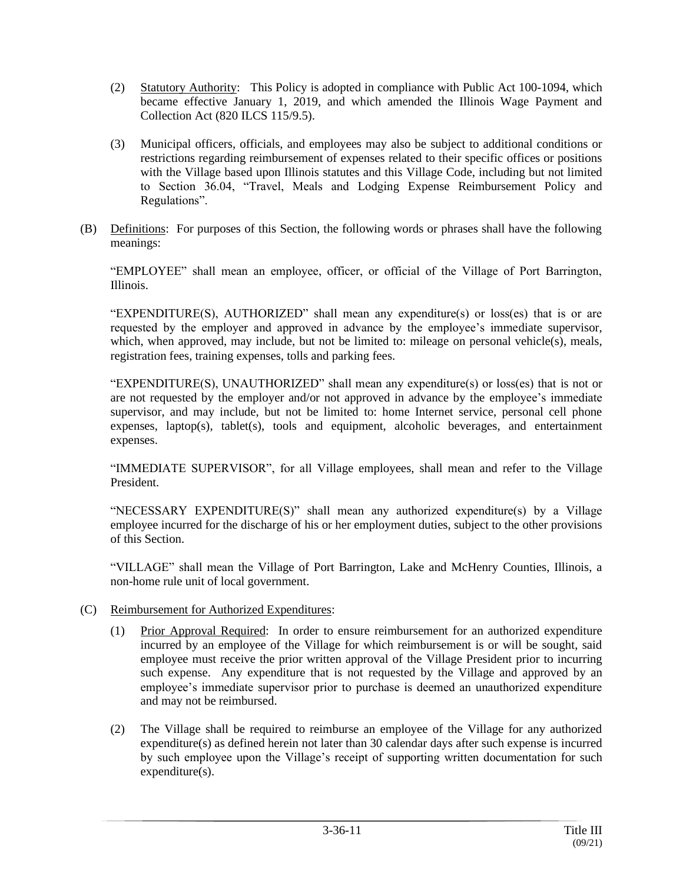- (2) Statutory Authority: This Policy is adopted in compliance with Public Act 100-1094, which became effective January 1, 2019, and which amended the Illinois Wage Payment and Collection Act (820 ILCS 115/9.5).
- (3) Municipal officers, officials, and employees may also be subject to additional conditions or restrictions regarding reimbursement of expenses related to their specific offices or positions with the Village based upon Illinois statutes and this Village Code, including but not limited to Section 36.04, "Travel, Meals and Lodging Expense Reimbursement Policy and Regulations".
- (B) Definitions: For purposes of this Section, the following words or phrases shall have the following meanings:

"EMPLOYEE" shall mean an employee, officer, or official of the Village of Port Barrington, Illinois.

"EXPENDITURE(S), AUTHORIZED" shall mean any expenditure(s) or loss(es) that is or are requested by the employer and approved in advance by the employee's immediate supervisor, which, when approved, may include, but not be limited to: mileage on personal vehicle(s), meals, registration fees, training expenses, tolls and parking fees.

"EXPENDITURE(S), UNAUTHORIZED" shall mean any expenditure(s) or loss(es) that is not or are not requested by the employer and/or not approved in advance by the employee's immediate supervisor, and may include, but not be limited to: home Internet service, personal cell phone expenses, laptop(s), tablet(s), tools and equipment, alcoholic beverages, and entertainment expenses.

"IMMEDIATE SUPERVISOR", for all Village employees, shall mean and refer to the Village President.

"NECESSARY EXPENDITURE(S)" shall mean any authorized expenditure(s) by a Village employee incurred for the discharge of his or her employment duties, subject to the other provisions of this Section.

"VILLAGE" shall mean the Village of Port Barrington, Lake and McHenry Counties, Illinois, a non-home rule unit of local government.

- (C) Reimbursement for Authorized Expenditures:
	- (1) Prior Approval Required: In order to ensure reimbursement for an authorized expenditure incurred by an employee of the Village for which reimbursement is or will be sought, said employee must receive the prior written approval of the Village President prior to incurring such expense. Any expenditure that is not requested by the Village and approved by an employee's immediate supervisor prior to purchase is deemed an unauthorized expenditure and may not be reimbursed.
	- (2) The Village shall be required to reimburse an employee of the Village for any authorized expenditure(s) as defined herein not later than 30 calendar days after such expense is incurred by such employee upon the Village's receipt of supporting written documentation for such expenditure(s).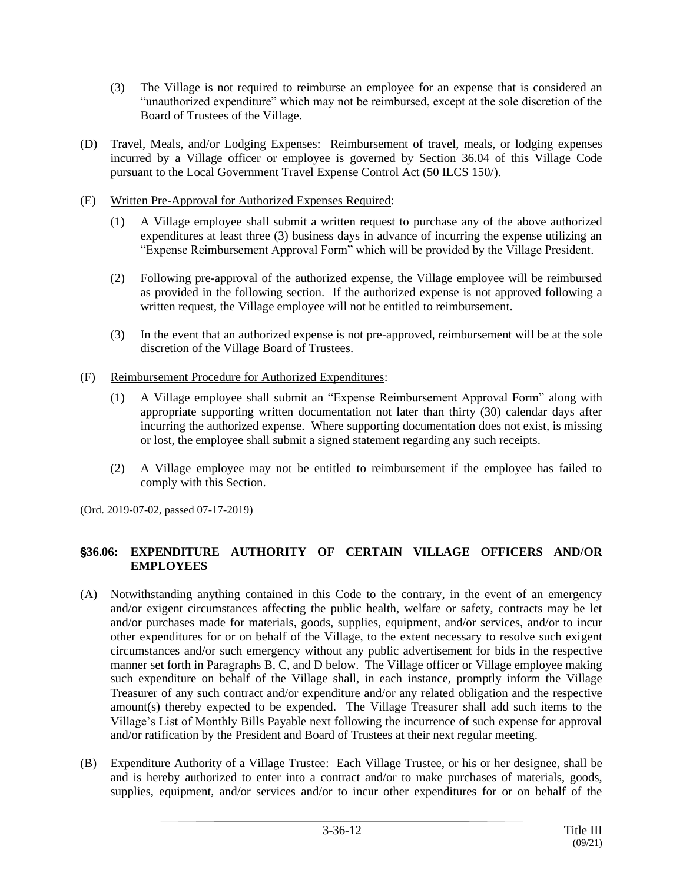- (3) The Village is not required to reimburse an employee for an expense that is considered an "unauthorized expenditure" which may not be reimbursed, except at the sole discretion of the Board of Trustees of the Village.
- (D) Travel, Meals, and/or Lodging Expenses: Reimbursement of travel, meals, or lodging expenses incurred by a Village officer or employee is governed by Section 36.04 of this Village Code pursuant to the Local Government Travel Expense Control Act (50 ILCS 150/).
- (E) Written Pre-Approval for Authorized Expenses Required:
	- (1) A Village employee shall submit a written request to purchase any of the above authorized expenditures at least three (3) business days in advance of incurring the expense utilizing an "Expense Reimbursement Approval Form" which will be provided by the Village President.
	- (2) Following pre-approval of the authorized expense, the Village employee will be reimbursed as provided in the following section. If the authorized expense is not approved following a written request, the Village employee will not be entitled to reimbursement.
	- (3) In the event that an authorized expense is not pre-approved, reimbursement will be at the sole discretion of the Village Board of Trustees.

# (F) Reimbursement Procedure for Authorized Expenditures:

- (1) A Village employee shall submit an "Expense Reimbursement Approval Form" along with appropriate supporting written documentation not later than thirty (30) calendar days after incurring the authorized expense. Where supporting documentation does not exist, is missing or lost, the employee shall submit a signed statement regarding any such receipts.
- (2) A Village employee may not be entitled to reimbursement if the employee has failed to comply with this Section.

(Ord. 2019-07-02, passed 07-17-2019)

# '**36.06: EXPENDITURE AUTHORITY OF CERTAIN VILLAGE OFFICERS AND/OR EMPLOYEES**

- (A) Notwithstanding anything contained in this Code to the contrary, in the event of an emergency and/or exigent circumstances affecting the public health, welfare or safety, contracts may be let and/or purchases made for materials, goods, supplies, equipment, and/or services, and/or to incur other expenditures for or on behalf of the Village, to the extent necessary to resolve such exigent circumstances and/or such emergency without any public advertisement for bids in the respective manner set forth in Paragraphs B, C, and D below. The Village officer or Village employee making such expenditure on behalf of the Village shall, in each instance, promptly inform the Village Treasurer of any such contract and/or expenditure and/or any related obligation and the respective amount(s) thereby expected to be expended. The Village Treasurer shall add such items to the Village's List of Monthly Bills Payable next following the incurrence of such expense for approval and/or ratification by the President and Board of Trustees at their next regular meeting.
- (B) Expenditure Authority of a Village Trustee: Each Village Trustee, or his or her designee, shall be and is hereby authorized to enter into a contract and/or to make purchases of materials, goods, supplies, equipment, and/or services and/or to incur other expenditures for or on behalf of the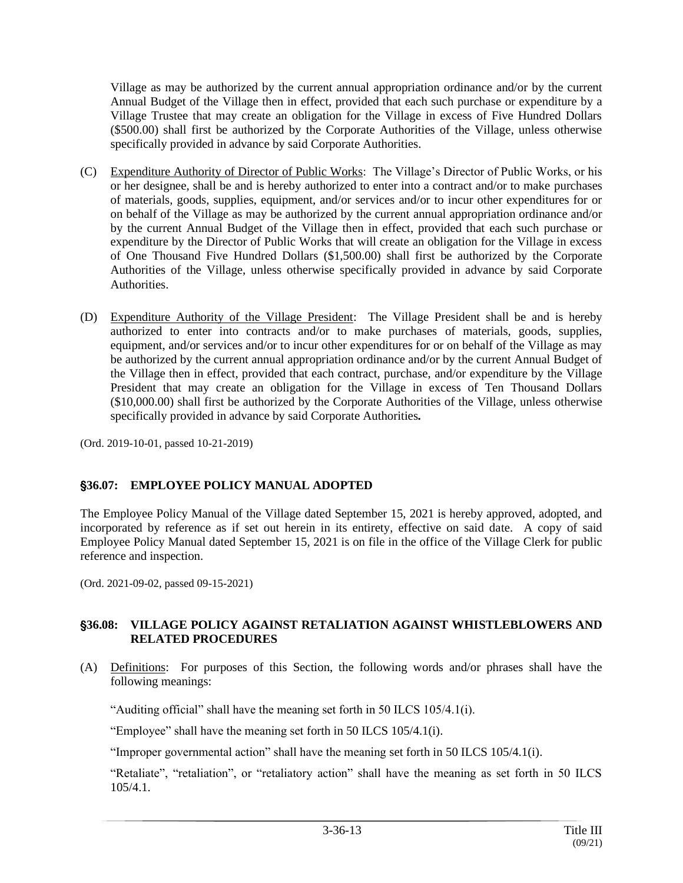Village as may be authorized by the current annual appropriation ordinance and/or by the current Annual Budget of the Village then in effect, provided that each such purchase or expenditure by a Village Trustee that may create an obligation for the Village in excess of Five Hundred Dollars (\$500.00) shall first be authorized by the Corporate Authorities of the Village, unless otherwise specifically provided in advance by said Corporate Authorities.

- (C) Expenditure Authority of Director of Public Works: The Village's Director of Public Works, or his or her designee, shall be and is hereby authorized to enter into a contract and/or to make purchases of materials, goods, supplies, equipment, and/or services and/or to incur other expenditures for or on behalf of the Village as may be authorized by the current annual appropriation ordinance and/or by the current Annual Budget of the Village then in effect, provided that each such purchase or expenditure by the Director of Public Works that will create an obligation for the Village in excess of One Thousand Five Hundred Dollars (\$1,500.00) shall first be authorized by the Corporate Authorities of the Village, unless otherwise specifically provided in advance by said Corporate Authorities.
- (D) Expenditure Authority of the Village President: The Village President shall be and is hereby authorized to enter into contracts and/or to make purchases of materials, goods, supplies, equipment, and/or services and/or to incur other expenditures for or on behalf of the Village as may be authorized by the current annual appropriation ordinance and/or by the current Annual Budget of the Village then in effect, provided that each contract, purchase, and/or expenditure by the Village President that may create an obligation for the Village in excess of Ten Thousand Dollars (\$10,000.00) shall first be authorized by the Corporate Authorities of the Village, unless otherwise specifically provided in advance by said Corporate Authorities*.*

(Ord. 2019-10-01, passed 10-21-2019)

# '**36.07: EMPLOYEE POLICY MANUAL ADOPTED**

The Employee Policy Manual of the Village dated September 15, 2021 is hereby approved, adopted, and incorporated by reference as if set out herein in its entirety, effective on said date. A copy of said Employee Policy Manual dated September 15, 2021 is on file in the office of the Village Clerk for public reference and inspection.

(Ord. 2021-09-02, passed 09-15-2021)

#### '**36.08: VILLAGE POLICY AGAINST RETALIATION AGAINST WHISTLEBLOWERS AND RELATED PROCEDURES**

(A) Definitions: For purposes of this Section, the following words and/or phrases shall have the following meanings:

"Auditing official" shall have the meaning set forth in 50 ILCS 105/4.1(i).

"Employee" shall have the meaning set forth in 50 ILCS 105/4.1(i).

"Improper governmental action" shall have the meaning set forth in 50 ILCS 105/4.1(i).

"Retaliate", "retaliation", or "retaliatory action" shall have the meaning as set forth in 50 ILCS 105/4.1.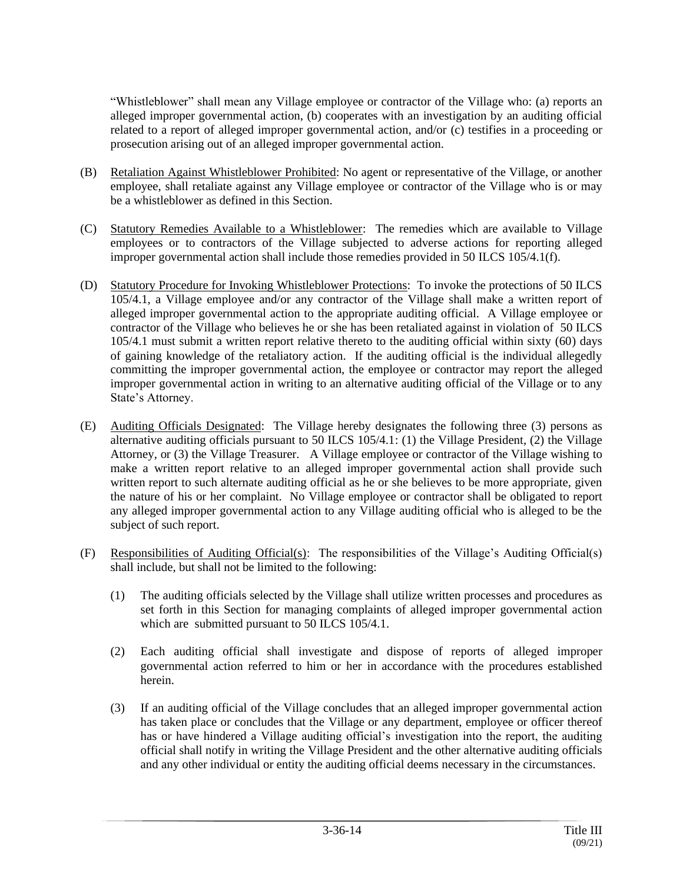"Whistleblower" shall mean any Village employee or contractor of the Village who: (a) reports an alleged improper governmental action, (b) cooperates with an investigation by an auditing official related to a report of alleged improper governmental action, and/or (c) testifies in a proceeding or prosecution arising out of an alleged improper governmental action.

- (B) Retaliation Against Whistleblower Prohibited: No agent or representative of the Village, or another employee, shall retaliate against any Village employee or contractor of the Village who is or may be a whistleblower as defined in this Section.
- (C) Statutory Remedies Available to a Whistleblower: The remedies which are available to Village employees or to contractors of the Village subjected to adverse actions for reporting alleged improper governmental action shall include those remedies provided in 50 ILCS 105/4.1(f).
- (D) Statutory Procedure for Invoking Whistleblower Protections: To invoke the protections of 50 ILCS 105/4.1, a Village employee and/or any contractor of the Village shall make a written report of alleged improper governmental action to the appropriate auditing official. A Village employee or contractor of the Village who believes he or she has been retaliated against in violation of 50 ILCS 105/4.1 must submit a written report relative thereto to the auditing official within sixty (60) days of gaining knowledge of the retaliatory action. If the auditing official is the individual allegedly committing the improper governmental action, the employee or contractor may report the alleged improper governmental action in writing to an alternative auditing official of the Village or to any State's Attorney.
- (E) Auditing Officials Designated: The Village hereby designates the following three (3) persons as alternative auditing officials pursuant to 50 ILCS 105/4.1: (1) the Village President, (2) the Village Attorney, or (3) the Village Treasurer. A Village employee or contractor of the Village wishing to make a written report relative to an alleged improper governmental action shall provide such written report to such alternate auditing official as he or she believes to be more appropriate, given the nature of his or her complaint. No Village employee or contractor shall be obligated to report any alleged improper governmental action to any Village auditing official who is alleged to be the subject of such report.
- (F) Responsibilities of Auditing Official(s): The responsibilities of the Village's Auditing Official(s) shall include, but shall not be limited to the following:
	- (1) The auditing officials selected by the Village shall utilize written processes and procedures as set forth in this Section for managing complaints of alleged improper governmental action which are submitted pursuant to 50 ILCS 105/4.1.
	- (2) Each auditing official shall investigate and dispose of reports of alleged improper governmental action referred to him or her in accordance with the procedures established herein.
	- (3) If an auditing official of the Village concludes that an alleged improper governmental action has taken place or concludes that the Village or any department, employee or officer thereof has or have hindered a Village auditing official's investigation into the report, the auditing official shall notify in writing the Village President and the other alternative auditing officials and any other individual or entity the auditing official deems necessary in the circumstances.